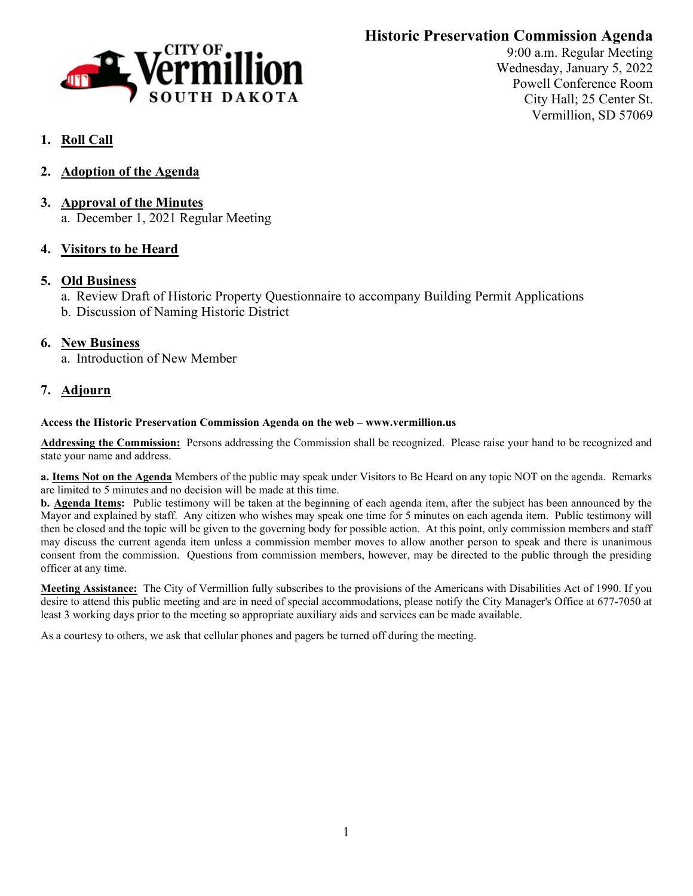# SOUTH DAKOTA

# **Historic Preservation Commission Agenda**

9:00 a.m. Regular Meeting Wednesday, January 5, 2022 Powell Conference Room City Hall; 25 Center St. Vermillion, SD 57069

# **1. Roll Call**

- **2. Adoption of the Agenda**
- **3. Approval of the Minutes** a. December 1, 2021 Regular Meeting
- **4. Visitors to be Heard**

# **5. Old Business**

- a. Review Draft of Historic Property Questionnaire to accompany Building Permit Applications
- b. Discussion of Naming Historic District

# **6. New Business**

a. Introduction of New Member

# **7. Adjourn**

# **Access the Historic Preservation Commission Agenda on the web – www.vermillion.us**

**Addressing the Commission:** Persons addressing the Commission shall be recognized. Please raise your hand to be recognized and state your name and address.

**a. Items Not on the Agenda** Members of the public may speak under Visitors to Be Heard on any topic NOT on the agenda. Remarks are limited to 5 minutes and no decision will be made at this time.

**b. Agenda Items:** Public testimony will be taken at the beginning of each agenda item, after the subject has been announced by the Mayor and explained by staff. Any citizen who wishes may speak one time for 5 minutes on each agenda item. Public testimony will then be closed and the topic will be given to the governing body for possible action. At this point, only commission members and staff may discuss the current agenda item unless a commission member moves to allow another person to speak and there is unanimous consent from the commission. Questions from commission members, however, may be directed to the public through the presiding officer at any time.

**Meeting Assistance:** The City of Vermillion fully subscribes to the provisions of the Americans with Disabilities Act of 1990. If you desire to attend this public meeting and are in need of special accommodations, please notify the City Manager's Office at 677-7050 at least 3 working days prior to the meeting so appropriate auxiliary aids and services can be made available.

As a courtesy to others, we ask that cellular phones and pagers be turned off during the meeting.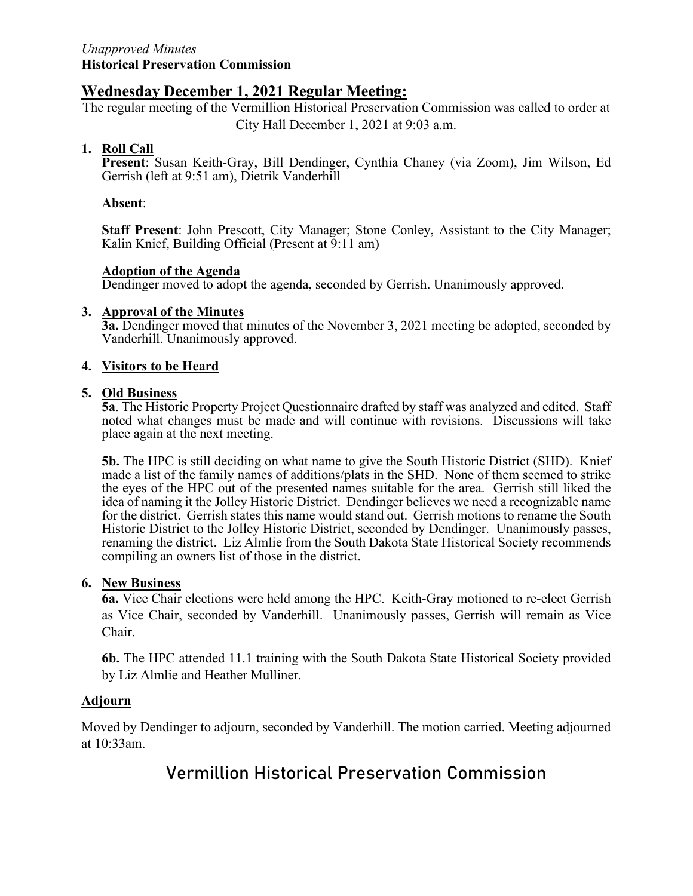## *Unapproved Minutes* **Historical Preservation Commission**

# **Wednesday December 1, 2021 Regular Meeting:**

The regular meeting of the Vermillion Historical Preservation Commission was called to order at City Hall December 1, 2021 at 9:03 a.m.

# **1. Roll Call**

**Present**: Susan Keith-Gray, Bill Dendinger, Cynthia Chaney (via Zoom), Jim Wilson, Ed Gerrish (left at 9:51 am), Dietrik Vanderhill

# **Absent**:

**Staff Present**: John Prescott, City Manager; Stone Conley, Assistant to the City Manager; Kalin Knief, Building Official (Present at  $9:11$  am)

# **Adoption of the Agenda**

Dendinger moved to adopt the agenda, seconded by Gerrish. Unanimously approved.

# **3. Approval of the Minutes**

**3a.** Dendinger moved that minutes of the November 3, 2021 meeting be adopted, seconded by Vanderhill. Unanimously approved.

# **4. Visitors to be Heard**

# **5. Old Business**

**5a**. The Historic Property Project Questionnaire drafted by staff was analyzed and edited. Staff noted what changes must be made and will continue with revisions. Discussions will take place again at the next meeting.

**5b.** The HPC is still deciding on what name to give the South Historic District (SHD). Knief made a list of the family names of additions/plats in the SHD. None of them seemed to strike the eyes of the HPC out of the presented names suitable for the area. Gerrish still liked the idea of naming it the Jolley Historic District. Dendinger believes we need a recognizable name for the district. Gerrish states this name would stand out. Gerrish motions to rename the South Historic District to the Jolley Historic District, seconded by Dendinger. Unanimously passes, renaming the district. Liz Almlie from the South Dakota State Historical Society recommends compiling an owners list of those in the district.

# **6. New Business**

**6a.** Vice Chair elections were held among the HPC. Keith-Gray motioned to re-elect Gerrish as Vice Chair, seconded by Vanderhill. Unanimously passes, Gerrish will remain as Vice Chair.

**6b.** The HPC attended 11.1 training with the South Dakota State Historical Society provided by Liz Almlie and Heather Mulliner.

# **Adjourn**

Moved by Dendinger to adjourn, seconded by Vanderhill. The motion carried. Meeting adjourned at 10:33am.

# Vermillion Historical Preservation Commission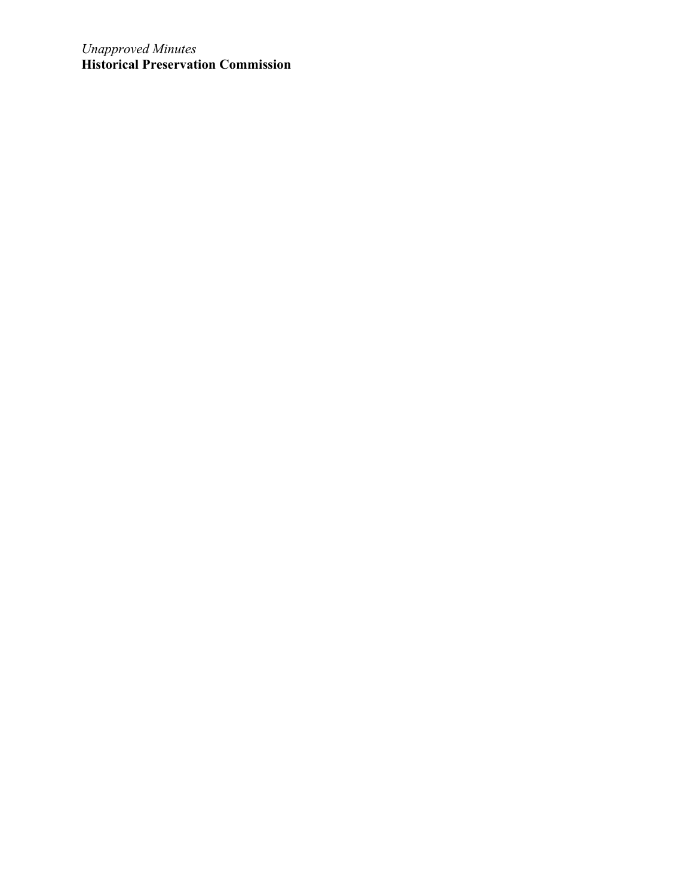*Unapproved Minutes* **Historical Preservation Commission**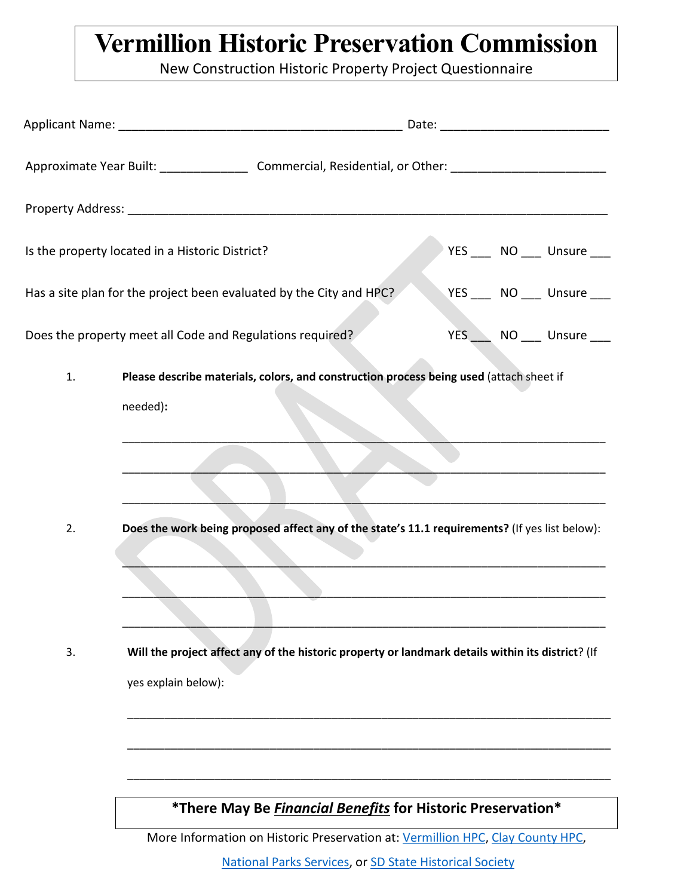# **Vermillion Historic Preservation Commission**

New Construction Historic Property Project Questionnaire

|                                                                     | Approximate Year Built: _______________________Commercial, Residential, or Other: ___________________________            |  |  |                              |  |
|---------------------------------------------------------------------|--------------------------------------------------------------------------------------------------------------------------|--|--|------------------------------|--|
|                                                                     |                                                                                                                          |  |  |                              |  |
|                                                                     | Is the property located in a Historic District?                                                                          |  |  | YES ____ NO ____ Unsure ____ |  |
| Has a site plan for the project been evaluated by the City and HPC? |                                                                                                                          |  |  | YES ____ NO ___ Unsure ___   |  |
|                                                                     | Does the property meet all Code and Regulations required?                                                                |  |  | YES NO __ Unsure __          |  |
| 1.                                                                  | Please describe materials, colors, and construction process being used (attach sheet if                                  |  |  |                              |  |
|                                                                     | needed):                                                                                                                 |  |  |                              |  |
|                                                                     |                                                                                                                          |  |  |                              |  |
|                                                                     |                                                                                                                          |  |  |                              |  |
| 2.                                                                  | Does the work being proposed affect any of the state's 11.1 requirements? (If yes list below):                           |  |  |                              |  |
|                                                                     |                                                                                                                          |  |  |                              |  |
|                                                                     |                                                                                                                          |  |  |                              |  |
| 3.                                                                  | Will the project affect any of the historic property or landmark details within its district? (If<br>yes explain below): |  |  |                              |  |
|                                                                     |                                                                                                                          |  |  |                              |  |
|                                                                     |                                                                                                                          |  |  |                              |  |
|                                                                     | *There May Be <i>Financial Benefits</i> for Historic Preservation*                                                       |  |  |                              |  |
|                                                                     |                                                                                                                          |  |  |                              |  |

More Information on Historic Preservation at: Vermillion HPC, [Clay County HPC,](https://cchpc.org/)

[National Parks Services,](https://www.nps.gov/index.htm) or [SD State Historical Society](https://history.sd.gov/preservation/)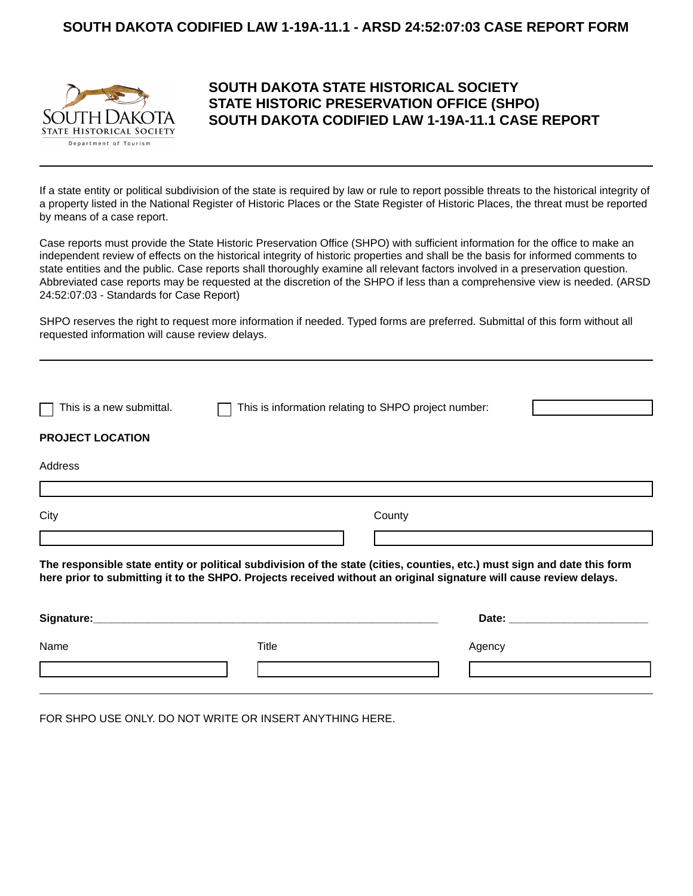

# **SOUTH DAKOTA STATE HISTORICAL SOCIETY STATE HISTORIC PRESERVATION OFFICE (SHPO) SOUTH DAKOTA CODIFIED LAW 1-19A-11.1 CASE REPORT**

If a state entity or political subdivision of the state is required by law or rule to report possible threats to the historical integrity of a property listed in the National Register of Historic Places or the State Register of Historic Places, the threat must be reported by means of a case report.

Case reports must provide the State Historic Preservation Office (SHPO) with sufficient information for the office to make an independent review of effects on the historical integrity of historic properties and shall be the basis for informed comments to state entities and the public. Case reports shall thoroughly examine all relevant factors involved in a preservation question. Abbreviated case reports may be requested at the discretion of the SHPO if less than a comprehensive view is needed. (ARSD 24:52:07:03 - Standards for Case Report)

SHPO reserves the right to request more information if needed. Typed forms are preferred. Submittal of this form without all requested information will cause review delays.

| This is a new submittal.                                                                                                                                                                                                                       | This is information relating to SHPO project number: |        |        |                                                                                                                                                                                                                                |
|------------------------------------------------------------------------------------------------------------------------------------------------------------------------------------------------------------------------------------------------|------------------------------------------------------|--------|--------|--------------------------------------------------------------------------------------------------------------------------------------------------------------------------------------------------------------------------------|
| <b>PROJECT LOCATION</b>                                                                                                                                                                                                                        |                                                      |        |        |                                                                                                                                                                                                                                |
| Address                                                                                                                                                                                                                                        |                                                      |        |        |                                                                                                                                                                                                                                |
|                                                                                                                                                                                                                                                |                                                      |        |        |                                                                                                                                                                                                                                |
| City                                                                                                                                                                                                                                           |                                                      | County |        |                                                                                                                                                                                                                                |
|                                                                                                                                                                                                                                                |                                                      |        |        |                                                                                                                                                                                                                                |
| The responsible state entity or political subdivision of the state (cities, counties, etc.) must sign and date this form<br>here prior to submitting it to the SHPO. Projects received without an original signature will cause review delays. |                                                      |        |        |                                                                                                                                                                                                                                |
|                                                                                                                                                                                                                                                |                                                      |        |        | Date: the contract of the contract of the contract of the contract of the contract of the contract of the contract of the contract of the contract of the contract of the contract of the contract of the contract of the cont |
| Name                                                                                                                                                                                                                                           | Title                                                |        | Agency |                                                                                                                                                                                                                                |
|                                                                                                                                                                                                                                                |                                                      |        |        |                                                                                                                                                                                                                                |

FOR SHPO USE ONLY. DO NOT WRITE OR INSERT ANYTHING HERE.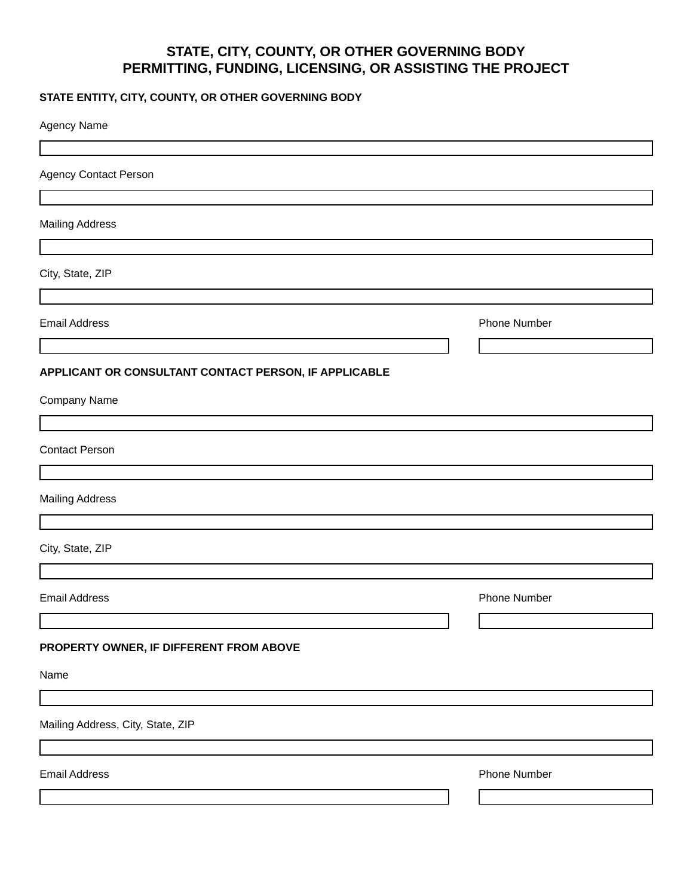# **STATE, CITY, COUNTY, OR OTHER GOVERNING BODY PERMITTING, FUNDING, LICENSING, OR ASSISTING THE PROJECT**

# **STATE ENTITY, CITY, COUNTY, OR OTHER GOVERNING BODY**

| Agency Name                                           |                     |
|-------------------------------------------------------|---------------------|
|                                                       |                     |
| <b>Agency Contact Person</b>                          |                     |
| <b>Mailing Address</b>                                |                     |
|                                                       |                     |
| City, State, ZIP                                      |                     |
|                                                       |                     |
| <b>Email Address</b>                                  | Phone Number        |
|                                                       |                     |
| APPLICANT OR CONSULTANT CONTACT PERSON, IF APPLICABLE |                     |
| Company Name                                          |                     |
|                                                       |                     |
| <b>Contact Person</b>                                 |                     |
|                                                       |                     |
| <b>Mailing Address</b>                                |                     |
|                                                       |                     |
| City, State, ZIP                                      |                     |
|                                                       |                     |
| <b>Email Address</b>                                  | <b>Phone Number</b> |
|                                                       |                     |
| PROPERTY OWNER, IF DIFFERENT FROM ABOVE               |                     |
| Name                                                  |                     |
|                                                       |                     |
| Mailing Address, City, State, ZIP                     |                     |
|                                                       |                     |
| <b>Email Address</b>                                  | Phone Number        |
|                                                       |                     |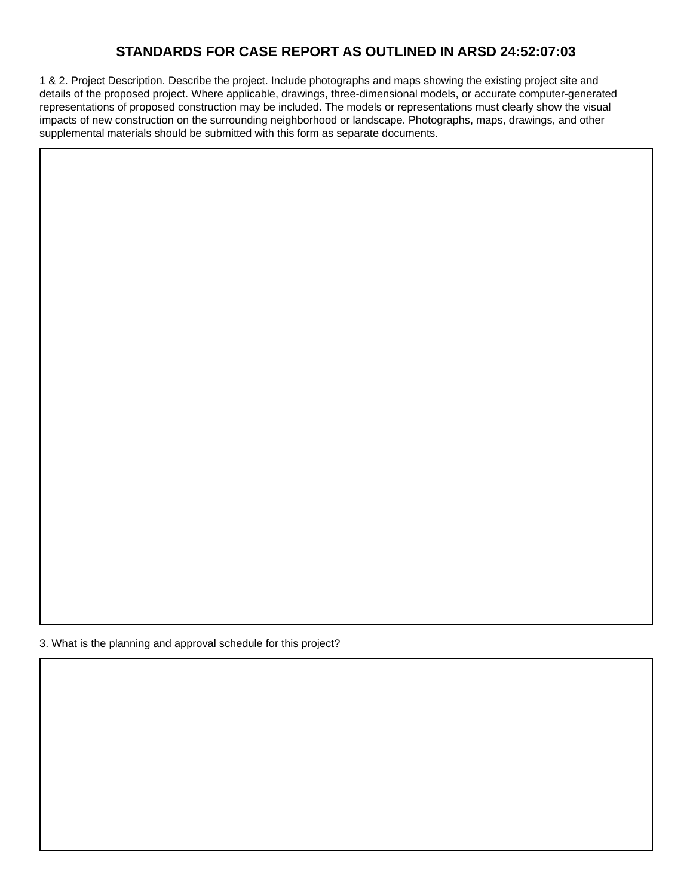# **STANDARDS FOR CASE REPORT AS OUTLINED IN ARSD 24:52:07:03**

1 & 2. Project Description. Describe the project. Include photographs and maps showing the existing project site and details of the proposed project. Where applicable, drawings, three-dimensional models, or accurate computer-generated representations of proposed construction may be included. The models or representations must clearly show the visual impacts of new construction on the surrounding neighborhood or landscape. Photographs, maps, drawings, and other supplemental materials should be submitted with this form as separate documents.

3. What is the planning and approval schedule for this project?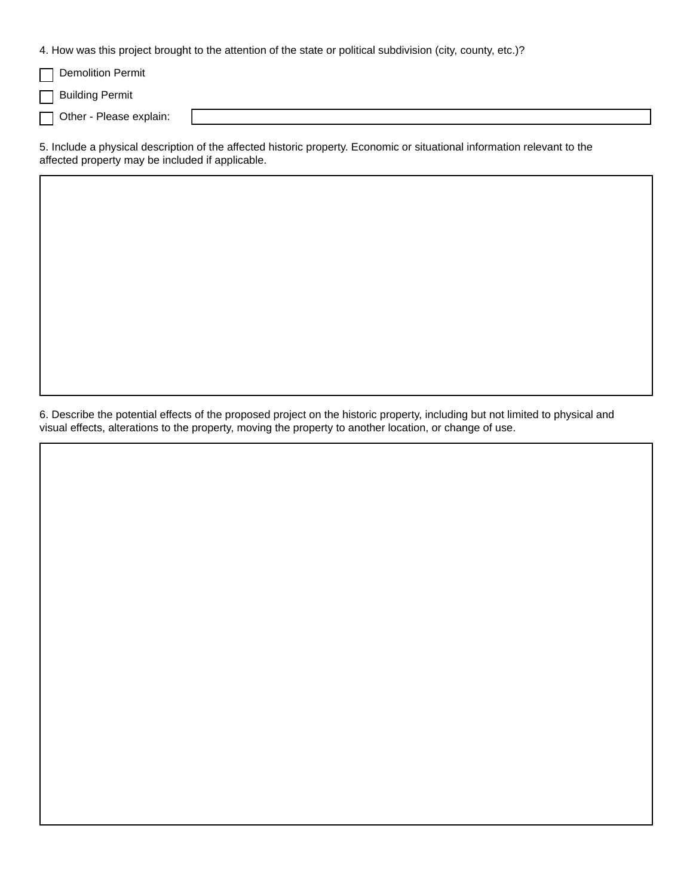4. How was this project brought to the attention of the state or political subdivision (city, county, etc.)?

| □ Demolition Permit     |  |
|-------------------------|--|
| □ Building Permit       |  |
| Other - Please explain: |  |

5. Include a physical description of the affected historic property. Economic or situational information relevant to the affected property may be included if applicable.

6. Describe the potential effects of the proposed project on the historic property, including but not limited to physical and visual effects, alterations to the property, moving the property to another location, or change of use.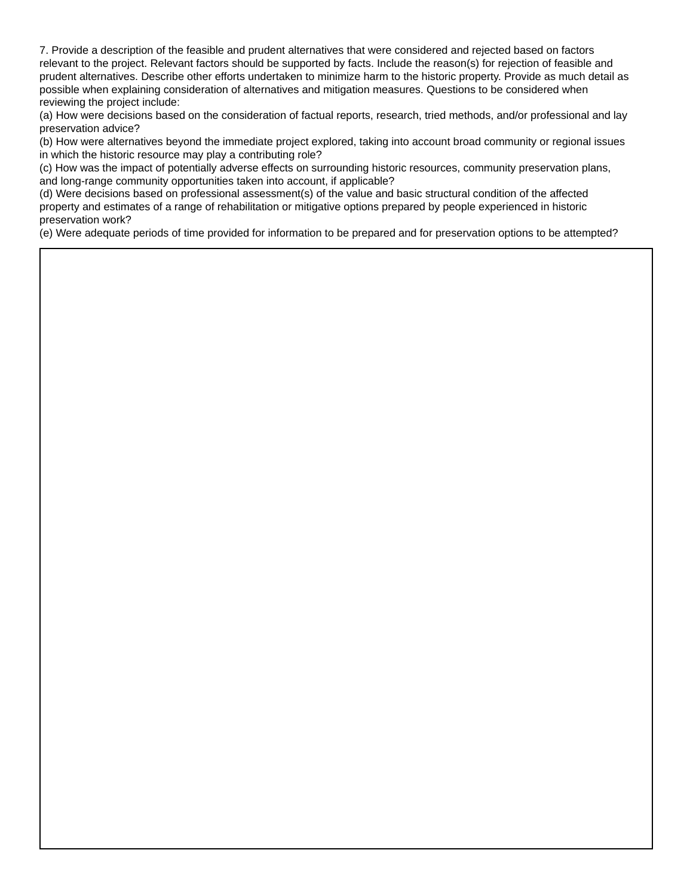7. Provide a description of the feasible and prudent alternatives that were considered and rejected based on factors relevant to the project. Relevant factors should be supported by facts. Include the reason(s) for rejection of feasible and prudent alternatives. Describe other efforts undertaken to minimize harm to the historic property. Provide as much detail as possible when explaining consideration of alternatives and mitigation measures. Questions to be considered when reviewing the project include:

(a) How were decisions based on the consideration of factual reports, research, tried methods, and/or professional and lay preservation advice?

(b) How were alternatives beyond the immediate project explored, taking into account broad community or regional issues in which the historic resource may play a contributing role?

(c) How was the impact of potentially adverse effects on surrounding historic resources, community preservation plans, and long-range community opportunities taken into account, if applicable?

(d) Were decisions based on professional assessment(s) of the value and basic structural condition of the affected property and estimates of a range of rehabilitation or mitigative options prepared by people experienced in historic preservation work?

(e) Were adequate periods of time provided for information to be prepared and for preservation options to be attempted?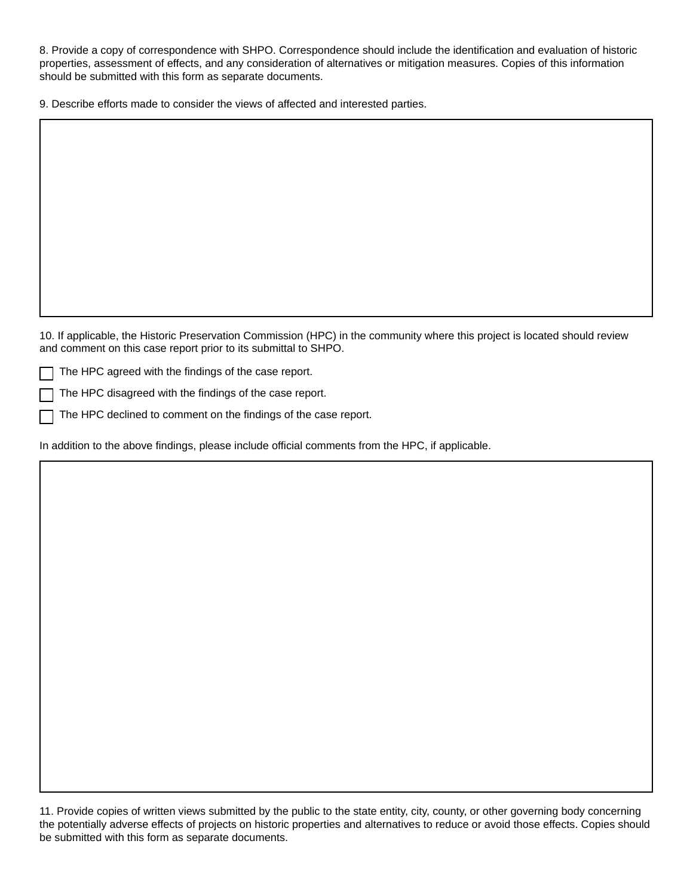8. Provide a copy of correspondence with SHPO. Correspondence should include the identification and evaluation of historic properties, assessment of effects, and any consideration of alternatives or mitigation measures. Copies of this information should be submitted with this form as separate documents.

9. Describe efforts made to consider the views of affected and interested parties.

10. If applicable, the Historic Preservation Commission (HPC) in the community where this project is located should review and comment on this case report prior to its submittal to SHPO.

The HPC agreed with the findings of the case report.

The HPC disagreed with the findings of the case report.

The HPC declined to comment on the findings of the case report.

In addition to the above findings, please include official comments from the HPC, if applicable.

11. Provide copies of written views submitted by the public to the state entity, city, county, or other governing body concerning the potentially adverse effects of projects on historic properties and alternatives to reduce or avoid those effects. Copies should be submitted with this form as separate documents.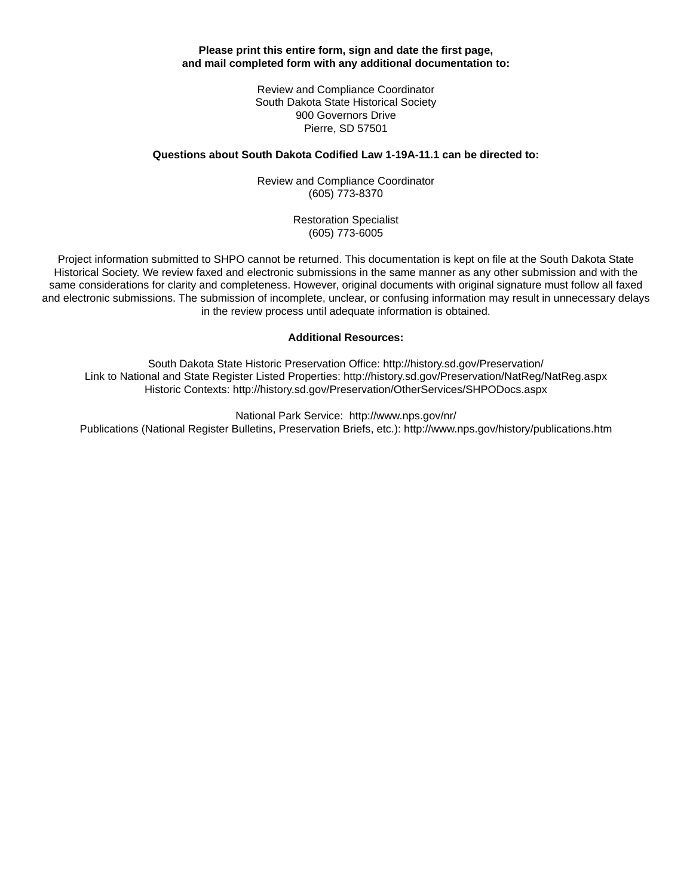#### **Please print this entire form, sign and date the first page, and mail completed form with any additional documentation to:**

Review and Compliance Coordinator South Dakota State Historical Society 900 Governors Drive Pierre, SD 57501

#### **Questions about South Dakota Codified Law 1-19A-11.1 can be directed to:**

Review and Compliance Coordinator (605) 773-8370

> Restoration Specialist (605) 773-6005

Project information submitted to SHPO cannot be returned. This documentation is kept on file at the South Dakota State Historical Society. We review faxed and electronic submissions in the same manner as any other submission and with the same considerations for clarity and completeness. However, original documents with original signature must follow all faxed and electronic submissions. The submission of incomplete, unclear, or confusing information may result in unnecessary delays in the review process until adequate information is obtained.

#### **Additional Resources:**

South Dakota State Historic Preservation Office: http://history.sd.gov/Preservation/ Link to National and State Register Listed Properties: http://history.sd.gov/Preservation/NatReg/NatReg.aspx Historic Contexts: http://history.sd.gov/Preservation/OtherServices/SHPODocs.aspx

National Park Service: http://www.nps.gov/nr/ Publications (National Register Bulletins, Preservation Briefs, etc.): http://www.nps.gov/history/publications.htm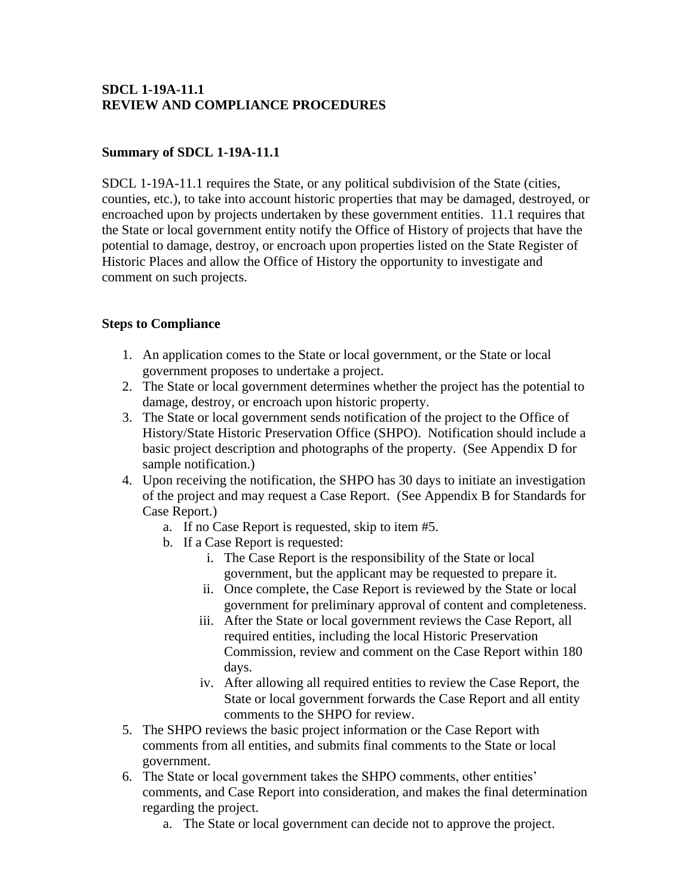# **SDCL 1-19A-11.1 REVIEW AND COMPLIANCE PROCEDURES**

# **Summary of SDCL 1-19A-11.1**

SDCL 1-19A-11.1 requires the State, or any political subdivision of the State (cities, counties, etc.), to take into account historic properties that may be damaged, destroyed, or encroached upon by projects undertaken by these government entities. 11.1 requires that the State or local government entity notify the Office of History of projects that have the potential to damage, destroy, or encroach upon properties listed on the State Register of Historic Places and allow the Office of History the opportunity to investigate and comment on such projects.

# **Steps to Compliance**

- 1. An application comes to the State or local government, or the State or local government proposes to undertake a project.
- 2. The State or local government determines whether the project has the potential to damage, destroy, or encroach upon historic property.
- 3. The State or local government sends notification of the project to the Office of History/State Historic Preservation Office (SHPO). Notification should include a basic project description and photographs of the property. (See Appendix D for sample notification.)
- 4. Upon receiving the notification, the SHPO has 30 days to initiate an investigation of the project and may request a Case Report. (See Appendix B for Standards for Case Report.)
	- a. If no Case Report is requested, skip to item #5.
	- b. If a Case Report is requested:
		- i. The Case Report is the responsibility of the State or local government, but the applicant may be requested to prepare it.
		- ii. Once complete, the Case Report is reviewed by the State or local government for preliminary approval of content and completeness.
		- iii. After the State or local government reviews the Case Report, all required entities, including the local Historic Preservation Commission, review and comment on the Case Report within 180 days.
		- iv. After allowing all required entities to review the Case Report, the State or local government forwards the Case Report and all entity comments to the SHPO for review.
- 5. The SHPO reviews the basic project information or the Case Report with comments from all entities, and submits final comments to the State or local government.
- 6. The State or local government takes the SHPO comments, other entities' comments, and Case Report into consideration, and makes the final determination regarding the project.
	- a. The State or local government can decide not to approve the project.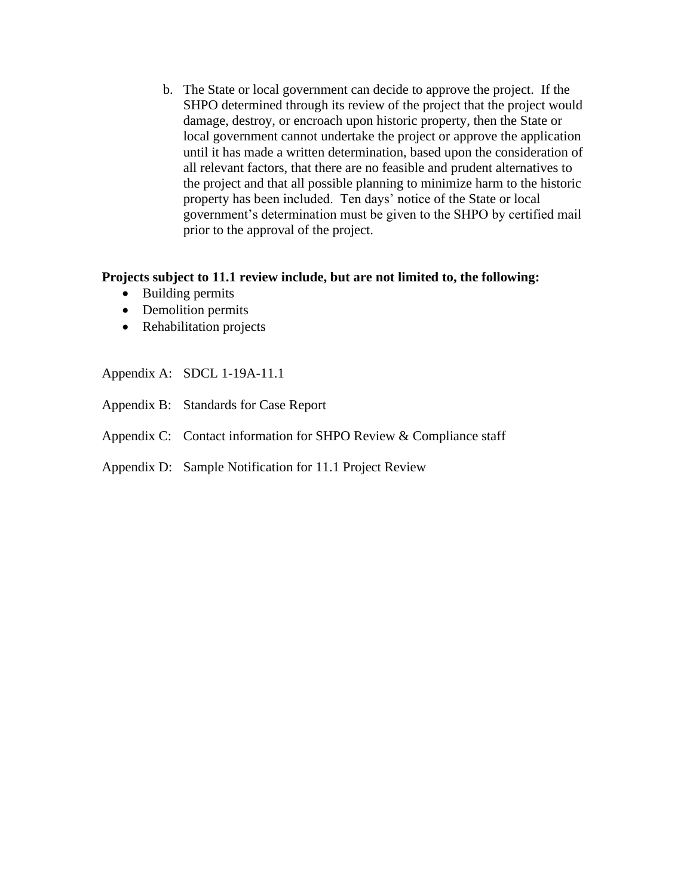b. The State or local government can decide to approve the project. If the SHPO determined through its review of the project that the project would damage, destroy, or encroach upon historic property, then the State or local government cannot undertake the project or approve the application until it has made a written determination, based upon the consideration of all relevant factors, that there are no feasible and prudent alternatives to the project and that all possible planning to minimize harm to the historic property has been included. Ten days' notice of the State or local government's determination must be given to the SHPO by certified mail prior to the approval of the project.

#### **Projects subject to 11.1 review include, but are not limited to, the following:**

- Building permits
- Demolition permits
- Rehabilitation projects

Appendix A: SDCL 1-19A-11.1

Appendix B: Standards for Case Report

Appendix C: Contact information for SHPO Review & Compliance staff

Appendix D: Sample Notification for 11.1 Project Review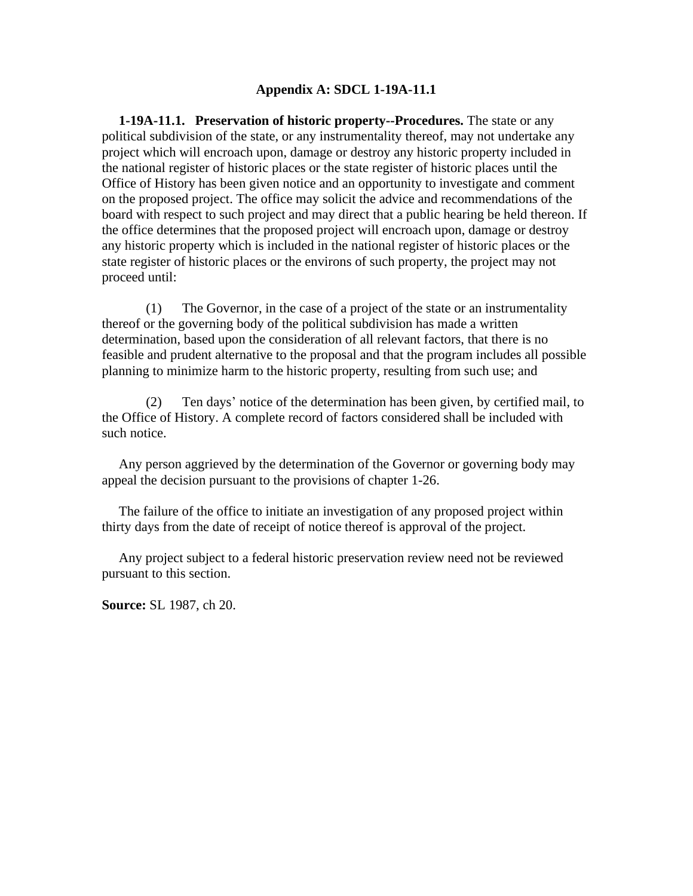#### **Appendix A: SDCL 1-19A-11.1**

 **1-19A-11.1. Preservation of historic property--Procedures.** The state or any political subdivision of the state, or any instrumentality thereof, may not undertake any project which will encroach upon, damage or destroy any historic property included in the national register of historic places or the state register of historic places until the Office of History has been given notice and an opportunity to investigate and comment on the proposed project. The office may solicit the advice and recommendations of the board with respect to such project and may direct that a public hearing be held thereon. If the office determines that the proposed project will encroach upon, damage or destroy any historic property which is included in the national register of historic places or the state register of historic places or the environs of such property, the project may not proceed until:

 (1) The Governor, in the case of a project of the state or an instrumentality thereof or the governing body of the political subdivision has made a written determination, based upon the consideration of all relevant factors, that there is no feasible and prudent alternative to the proposal and that the program includes all possible planning to minimize harm to the historic property, resulting from such use; and

 (2) Ten days' notice of the determination has been given, by certified mail, to the Office of History. A complete record of factors considered shall be included with such notice.

 Any person aggrieved by the determination of the Governor or governing body may appeal the decision pursuant to the provisions of chapter 1-26.

 The failure of the office to initiate an investigation of any proposed project within thirty days from the date of receipt of notice thereof is approval of the project.

 Any project subject to a federal historic preservation review need not be reviewed pursuant to this section.

**Source:** SL 1987, ch 20.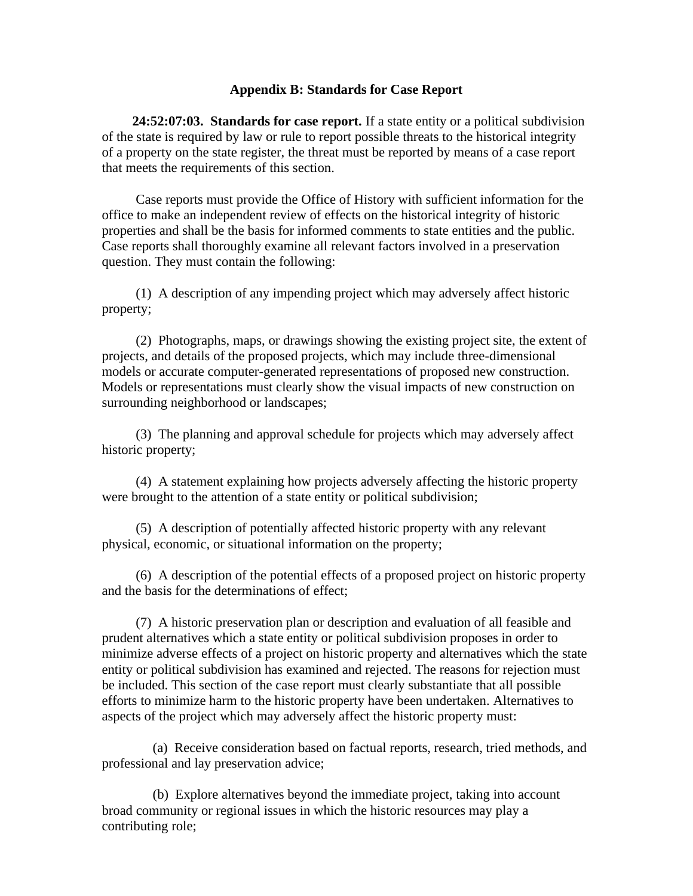#### **Appendix B: Standards for Case Report**

 **24:52:07:03. Standards for case report.** If a state entity or a political subdivision of the state is required by law or rule to report possible threats to the historical integrity of a property on the state register, the threat must be reported by means of a case report that meets the requirements of this section.

 Case reports must provide the Office of History with sufficient information for the office to make an independent review of effects on the historical integrity of historic properties and shall be the basis for informed comments to state entities and the public. Case reports shall thoroughly examine all relevant factors involved in a preservation question. They must contain the following:

 (1) A description of any impending project which may adversely affect historic property;

 (2) Photographs, maps, or drawings showing the existing project site, the extent of projects, and details of the proposed projects, which may include three-dimensional models or accurate computer-generated representations of proposed new construction. Models or representations must clearly show the visual impacts of new construction on surrounding neighborhood or landscapes;

 (3) The planning and approval schedule for projects which may adversely affect historic property;

 (4) A statement explaining how projects adversely affecting the historic property were brought to the attention of a state entity or political subdivision;

 (5) A description of potentially affected historic property with any relevant physical, economic, or situational information on the property;

 (6) A description of the potential effects of a proposed project on historic property and the basis for the determinations of effect;

 (7) A historic preservation plan or description and evaluation of all feasible and prudent alternatives which a state entity or political subdivision proposes in order to minimize adverse effects of a project on historic property and alternatives which the state entity or political subdivision has examined and rejected. The reasons for rejection must be included. This section of the case report must clearly substantiate that all possible efforts to minimize harm to the historic property have been undertaken. Alternatives to aspects of the project which may adversely affect the historic property must:

 (a) Receive consideration based on factual reports, research, tried methods, and professional and lay preservation advice;

 (b) Explore alternatives beyond the immediate project, taking into account broad community or regional issues in which the historic resources may play a contributing role;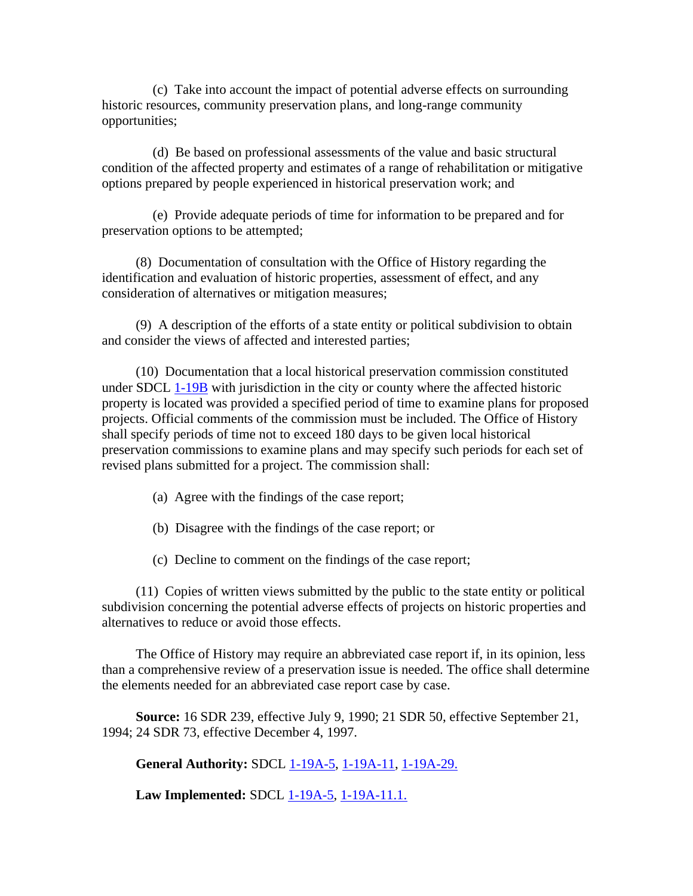(c) Take into account the impact of potential adverse effects on surrounding historic resources, community preservation plans, and long-range community opportunities;

 (d) Be based on professional assessments of the value and basic structural condition of the affected property and estimates of a range of rehabilitation or mitigative options prepared by people experienced in historical preservation work; and

 (e) Provide adequate periods of time for information to be prepared and for preservation options to be attempted;

 (8) Documentation of consultation with the Office of History regarding the identification and evaluation of historic properties, assessment of effect, and any consideration of alternatives or mitigation measures;

 (9) A description of the efforts of a state entity or political subdivision to obtain and consider the views of affected and interested parties;

 (10) Documentation that a local historical preservation commission constituted under SDCL [1-19B](http://legis.state.sd.us/statutes/DisplayStatute.aspx?Type=Statute&Statute=1-19B) with jurisdiction in the city or county where the affected historic property is located was provided a specified period of time to examine plans for proposed projects. Official comments of the commission must be included. The Office of History shall specify periods of time not to exceed 180 days to be given local historical preservation commissions to examine plans and may specify such periods for each set of revised plans submitted for a project. The commission shall:

- (a) Agree with the findings of the case report;
- (b) Disagree with the findings of the case report; or
- (c) Decline to comment on the findings of the case report;

 (11) Copies of written views submitted by the public to the state entity or political subdivision concerning the potential adverse effects of projects on historic properties and alternatives to reduce or avoid those effects.

 The Office of History may require an abbreviated case report if, in its opinion, less than a comprehensive review of a preservation issue is needed. The office shall determine the elements needed for an abbreviated case report case by case.

 **Source:** 16 SDR 239, effective July 9, 1990; 21 SDR 50, effective September 21, 1994; 24 SDR 73, effective December 4, 1997.

**General Authority:** SDCL [1-19A-5,](http://legis.state.sd.us/statutes/DisplayStatute.aspx?Type=Statute&Statute=1-19A-5) [1-19A-11,](http://legis.state.sd.us/statutes/DisplayStatute.aspx?Type=Statute&Statute=1-19A-11) [1-19A-29.](http://legis.state.sd.us/statutes/DisplayStatute.aspx?Type=Statute&Statute=1-19A-29)

**Law Implemented:** SDCL [1-19A-5,](http://legis.state.sd.us/statutes/DisplayStatute.aspx?Type=Statute&Statute=1-19A-5) [1-19A-11.1.](http://legis.state.sd.us/statutes/DisplayStatute.aspx?Type=Statute&Statute=1-19A-11.1)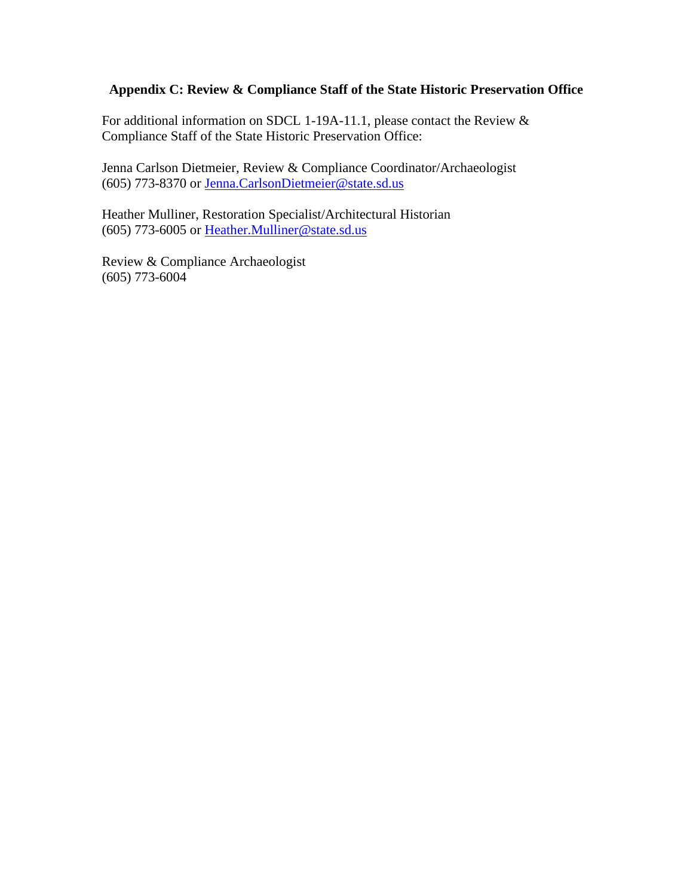# **Appendix C: Review & Compliance Staff of the State Historic Preservation Office**

For additional information on SDCL 1-19A-11.1, please contact the Review & Compliance Staff of the State Historic Preservation Office:

Jenna Carlson Dietmeier, Review & Compliance Coordinator/Archaeologist (605) 773-8370 or [Jenna.CarlsonDietmeier@state.sd.us](mailto:Jenna.CarlsonDietmeier@state.sd.us)

Heather Mulliner, Restoration Specialist/Architectural Historian (605) 773-6005 or [Heather.Mulliner@state.sd.us](mailto:Heather.Mulliner@state.sd.us)

Review & Compliance Archaeologist (605) 773-6004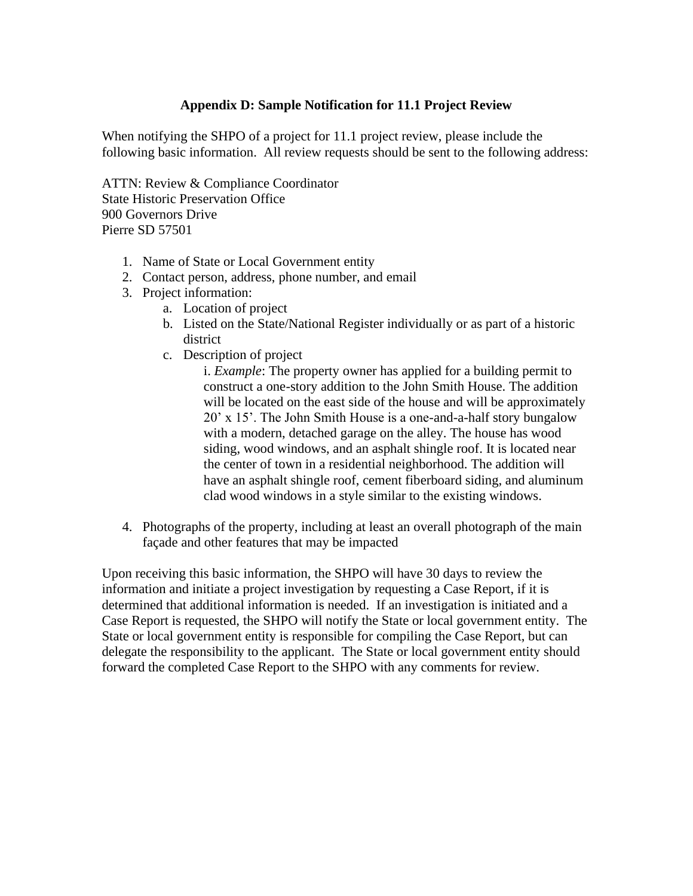# **Appendix D: Sample Notification for 11.1 Project Review**

When notifying the SHPO of a project for 11.1 project review, please include the following basic information. All review requests should be sent to the following address:

ATTN: Review & Compliance Coordinator State Historic Preservation Office 900 Governors Drive Pierre SD 57501

- 1. Name of State or Local Government entity
- 2. Contact person, address, phone number, and email
- 3. Project information:
	- a. Location of project
	- b. Listed on the State/National Register individually or as part of a historic district
	- c. Description of project

i. *Example*: The property owner has applied for a building permit to construct a one-story addition to the John Smith House. The addition will be located on the east side of the house and will be approximately 20' x 15'. The John Smith House is a one-and-a-half story bungalow with a modern, detached garage on the alley. The house has wood siding, wood windows, and an asphalt shingle roof. It is located near the center of town in a residential neighborhood. The addition will have an asphalt shingle roof, cement fiberboard siding, and aluminum clad wood windows in a style similar to the existing windows.

4. Photographs of the property, including at least an overall photograph of the main façade and other features that may be impacted

Upon receiving this basic information, the SHPO will have 30 days to review the information and initiate a project investigation by requesting a Case Report, if it is determined that additional information is needed. If an investigation is initiated and a Case Report is requested, the SHPO will notify the State or local government entity. The State or local government entity is responsible for compiling the Case Report, but can delegate the responsibility to the applicant. The State or local government entity should forward the completed Case Report to the SHPO with any comments for review.